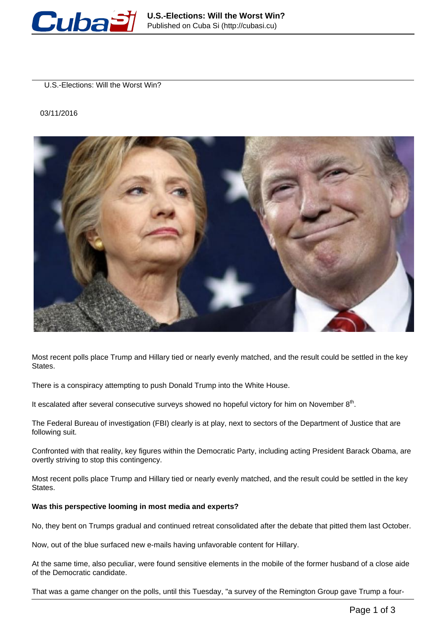

U.S.-Elections: Will the Worst Win?

## 03/11/2016



Most recent polls place Trump and Hillary tied or nearly evenly matched, and the result could be settled in the key States.

There is a conspiracy attempting to push Donald Trump into the White House.

It escalated after several consecutive surveys showed no hopeful victory for him on November  $8<sup>th</sup>$ .

The Federal Bureau of investigation (FBI) clearly is at play, next to sectors of the Department of Justice that are following suit.

Confronted with that reality, key figures within the Democratic Party, including acting President Barack Obama, are overtly striving to stop this contingency.

Most recent polls place Trump and Hillary tied or nearly evenly matched, and the result could be settled in the key States.

## **Was this perspective looming in most media and experts?**

No, they bent on Trumps gradual and continued retreat consolidated after the debate that pitted them last October.

Now, out of the blue surfaced new e-mails having unfavorable content for Hillary.

At the same time, also peculiar, were found sensitive elements in the mobile of the former husband of a close aide of the Democratic candidate.

That was a game changer on the polls, until this Tuesday, "a survey of the Remington Group gave Trump a four-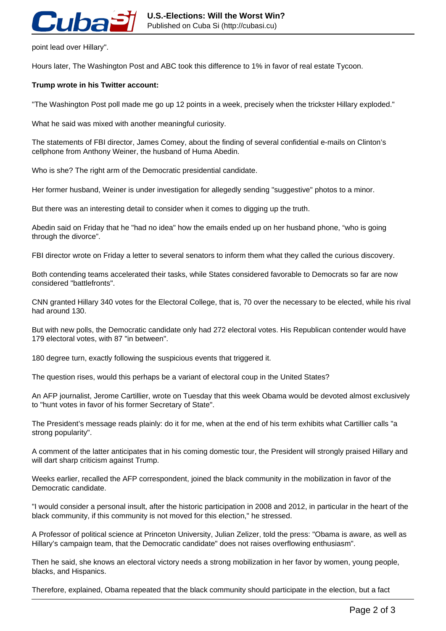

point lead over Hillary".

Hours later, The Washington Post and ABC took this difference to 1% in favor of real estate Tycoon.

## **Trump wrote in his Twitter account:**

"The Washington Post poll made me go up 12 points in a week, precisely when the trickster Hillary exploded."

What he said was mixed with another meaningful curiosity.

The statements of FBI director, James Comey, about the finding of several confidential e-mails on Clinton's cellphone from Anthony Weiner, the husband of Huma Abedin.

Who is she? The right arm of the Democratic presidential candidate.

Her former husband, Weiner is under investigation for allegedly sending "suggestive" photos to a minor.

But there was an interesting detail to consider when it comes to digging up the truth.

Abedin said on Friday that he "had no idea" how the emails ended up on her husband phone, "who is going through the divorce".

FBI director wrote on Friday a letter to several senators to inform them what they called the curious discovery.

Both contending teams accelerated their tasks, while States considered favorable to Democrats so far are now considered "battlefronts".

CNN granted Hillary 340 votes for the Electoral College, that is, 70 over the necessary to be elected, while his rival had around 130.

But with new polls, the Democratic candidate only had 272 electoral votes. His Republican contender would have 179 electoral votes, with 87 "in between".

180 degree turn, exactly following the suspicious events that triggered it.

The question rises, would this perhaps be a variant of electoral coup in the United States?

An AFP journalist, Jerome Cartillier, wrote on Tuesday that this week Obama would be devoted almost exclusively to "hunt votes in favor of his former Secretary of State".

The President's message reads plainly: do it for me, when at the end of his term exhibits what Cartillier calls "a strong popularity".

A comment of the latter anticipates that in his coming domestic tour, the President will strongly praised Hillary and will dart sharp criticism against Trump.

Weeks earlier, recalled the AFP correspondent, joined the black community in the mobilization in favor of the Democratic candidate.

"I would consider a personal insult, after the historic participation in 2008 and 2012, in particular in the heart of the black community, if this community is not moved for this election," he stressed.

A Professor of political science at Princeton University, Julian Zelizer, told the press: "Obama is aware, as well as Hillary's campaign team, that the Democratic candidate" does not raises overflowing enthusiasm".

Then he said, she knows an electoral victory needs a strong mobilization in her favor by women, young people, blacks, and Hispanics.

Therefore, explained, Obama repeated that the black community should participate in the election, but a fact